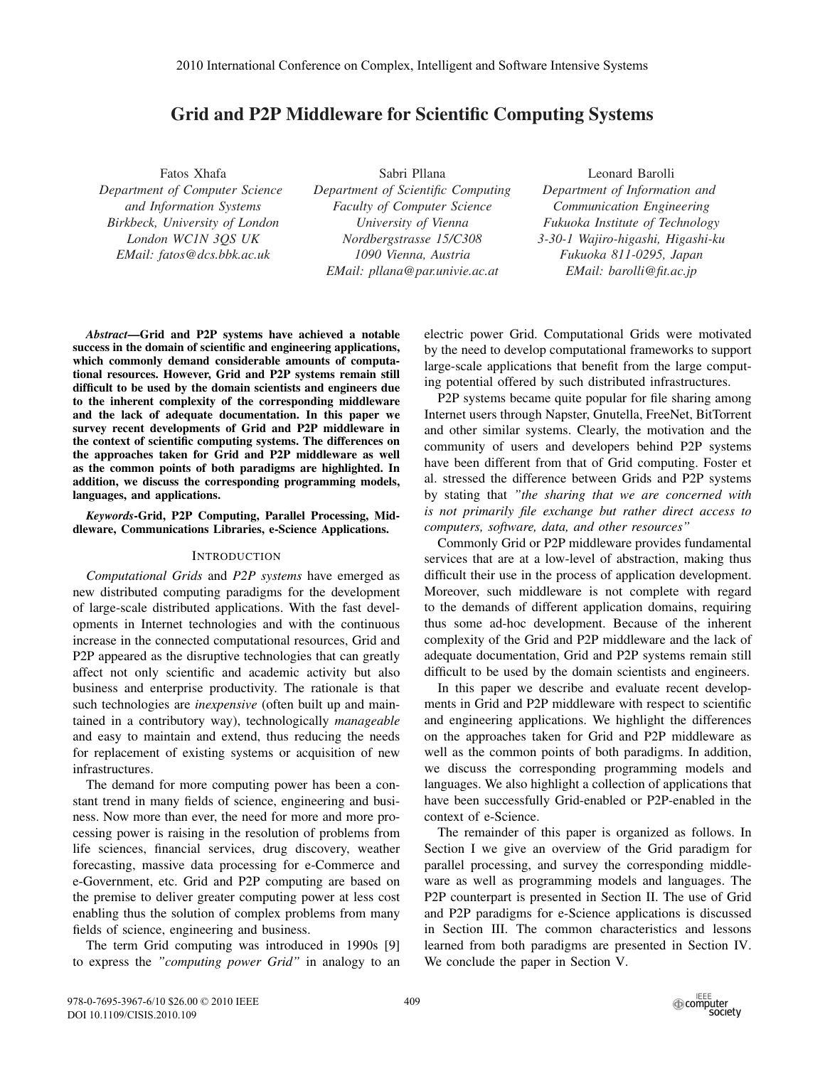# Grid and P2P Middleware for Scientific Computing Systems

Fatos Xhafa *Department of Computer Science and Information Systems Birkbeck, University of London London WC1N 3QS UK EMail: fatos@dcs.bbk.ac.uk*

Sabri Pllana *Department of Scientific Computing Faculty of Computer Science University of Vienna Nordbergstrasse 15/C308 1090 Vienna, Austria EMail: pllana@par.univie.ac.at*

Leonard Barolli *Department of Information and Communication Engineering Fukuoka Institute of Technology 3-30-1 Wajiro-higashi, Higashi-ku Fukuoka 811-0295, Japan EMail: barolli@fit.ac.jp*

*Abstract*—Grid and P2P systems have achieved a notable success in the domain of scientific and engineering applications, which commonly demand considerable amounts of computational resources. However, Grid and P2P systems remain still difficult to be used by the domain scientists and engineers due to the inherent complexity of the corresponding middleware and the lack of adequate documentation. In this paper we survey recent developments of Grid and P2P middleware in the context of scientific computing systems. The differences on the approaches taken for Grid and P2P middleware as well as the common points of both paradigms are highlighted. In addition, we discuss the corresponding programming models, languages, and applications.

#### *Keywords*-Grid, P2P Computing, Parallel Processing, Middleware, Communications Libraries, e-Science Applications.

#### INTRODUCTION

*Computational Grids* and *P2P systems* have emerged as new distributed computing paradigms for the development of large-scale distributed applications. With the fast developments in Internet technologies and with the continuous increase in the connected computational resources, Grid and P2P appeared as the disruptive technologies that can greatly affect not only scientific and academic activity but also business and enterprise productivity. The rationale is that such technologies are *inexpensive* (often built up and maintained in a contributory way), technologically *manageable* and easy to maintain and extend, thus reducing the needs for replacement of existing systems or acquisition of new infrastructures.

The demand for more computing power has been a constant trend in many fields of science, engineering and business. Now more than ever, the need for more and more processing power is raising in the resolution of problems from life sciences, financial services, drug discovery, weather forecasting, massive data processing for e-Commerce and e-Government, etc. Grid and P2P computing are based on the premise to deliver greater computing power at less cost enabling thus the solution of complex problems from many fields of science, engineering and business.

The term Grid computing was introduced in 1990s [9] to express the *"computing power Grid"* in analogy to an electric power Grid. Computational Grids were motivated by the need to develop computational frameworks to support large-scale applications that benefit from the large computing potential offered by such distributed infrastructures.

P2P systems became quite popular for file sharing among Internet users through Napster, Gnutella, FreeNet, BitTorrent and other similar systems. Clearly, the motivation and the community of users and developers behind P2P systems have been different from that of Grid computing. Foster et al. stressed the difference between Grids and P2P systems by stating that *"the sharing that we are concerned with is not primarily file exchange but rather direct access to computers, software, data, and other resources"*

Commonly Grid or P2P middleware provides fundamental services that are at a low-level of abstraction, making thus difficult their use in the process of application development. Moreover, such middleware is not complete with regard to the demands of different application domains, requiring thus some ad-hoc development. Because of the inherent complexity of the Grid and P2P middleware and the lack of adequate documentation, Grid and P2P systems remain still difficult to be used by the domain scientists and engineers.

In this paper we describe and evaluate recent developments in Grid and P2P middleware with respect to scientific and engineering applications. We highlight the differences on the approaches taken for Grid and P2P middleware as well as the common points of both paradigms. In addition, we discuss the corresponding programming models and languages. We also highlight a collection of applications that have been successfully Grid-enabled or P2P-enabled in the context of e-Science.

The remainder of this paper is organized as follows. In Section I we give an overview of the Grid paradigm for parallel processing, and survey the corresponding middleware as well as programming models and languages. The P2P counterpart is presented in Section II. The use of Grid and P2P paradigms for e-Science applications is discussed in Section III. The common characteristics and lessons learned from both paradigms are presented in Section IV. We conclude the paper in Section V.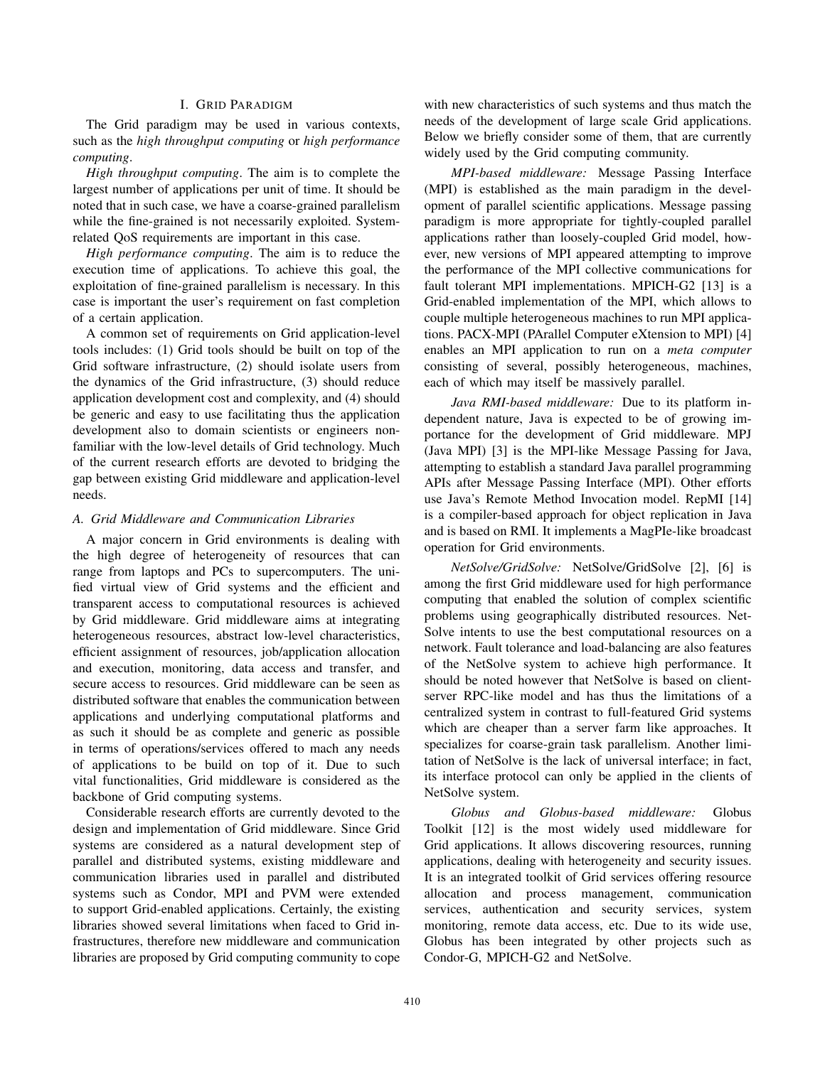## I. GRID PARADIGM

The Grid paradigm may be used in various contexts, such as the *high throughput computing* or *high performance computing*.

*High throughput computing*. The aim is to complete the largest number of applications per unit of time. It should be noted that in such case, we have a coarse-grained parallelism while the fine-grained is not necessarily exploited. Systemrelated QoS requirements are important in this case.

*High performance computing*. The aim is to reduce the execution time of applications. To achieve this goal, the exploitation of fine-grained parallelism is necessary. In this case is important the user's requirement on fast completion of a certain application.

A common set of requirements on Grid application-level tools includes: (1) Grid tools should be built on top of the Grid software infrastructure, (2) should isolate users from the dynamics of the Grid infrastructure, (3) should reduce application development cost and complexity, and (4) should be generic and easy to use facilitating thus the application development also to domain scientists or engineers nonfamiliar with the low-level details of Grid technology. Much of the current research efforts are devoted to bridging the gap between existing Grid middleware and application-level needs.

# *A. Grid Middleware and Communication Libraries*

A major concern in Grid environments is dealing with the high degree of heterogeneity of resources that can range from laptops and PCs to supercomputers. The unified virtual view of Grid systems and the efficient and transparent access to computational resources is achieved by Grid middleware. Grid middleware aims at integrating heterogeneous resources, abstract low-level characteristics, efficient assignment of resources, job/application allocation and execution, monitoring, data access and transfer, and secure access to resources. Grid middleware can be seen as distributed software that enables the communication between applications and underlying computational platforms and as such it should be as complete and generic as possible in terms of operations/services offered to mach any needs of applications to be build on top of it. Due to such vital functionalities, Grid middleware is considered as the backbone of Grid computing systems.

Considerable research efforts are currently devoted to the design and implementation of Grid middleware. Since Grid systems are considered as a natural development step of parallel and distributed systems, existing middleware and communication libraries used in parallel and distributed systems such as Condor, MPI and PVM were extended to support Grid-enabled applications. Certainly, the existing libraries showed several limitations when faced to Grid infrastructures, therefore new middleware and communication libraries are proposed by Grid computing community to cope with new characteristics of such systems and thus match the needs of the development of large scale Grid applications. Below we briefly consider some of them, that are currently widely used by the Grid computing community.

*MPI-based middleware:* Message Passing Interface (MPI) is established as the main paradigm in the development of parallel scientific applications. Message passing paradigm is more appropriate for tightly-coupled parallel applications rather than loosely-coupled Grid model, however, new versions of MPI appeared attempting to improve the performance of the MPI collective communications for fault tolerant MPI implementations. MPICH-G2 [13] is a Grid-enabled implementation of the MPI, which allows to couple multiple heterogeneous machines to run MPI applications. PACX-MPI (PArallel Computer eXtension to MPI) [4] enables an MPI application to run on a *meta computer* consisting of several, possibly heterogeneous, machines, each of which may itself be massively parallel.

*Java RMI-based middleware:* Due to its platform independent nature, Java is expected to be of growing importance for the development of Grid middleware. MPJ (Java MPI) [3] is the MPI-like Message Passing for Java, attempting to establish a standard Java parallel programming APIs after Message Passing Interface (MPI). Other efforts use Java's Remote Method Invocation model. RepMI [14] is a compiler-based approach for object replication in Java and is based on RMI. It implements a MagPIe-like broadcast operation for Grid environments.

*NetSolve/GridSolve:* NetSolve/GridSolve [2], [6] is among the first Grid middleware used for high performance computing that enabled the solution of complex scientific problems using geographically distributed resources. Net-Solve intents to use the best computational resources on a network. Fault tolerance and load-balancing are also features of the NetSolve system to achieve high performance. It should be noted however that NetSolve is based on clientserver RPC-like model and has thus the limitations of a centralized system in contrast to full-featured Grid systems which are cheaper than a server farm like approaches. It specializes for coarse-grain task parallelism. Another limitation of NetSolve is the lack of universal interface; in fact, its interface protocol can only be applied in the clients of NetSolve system.

*Globus and Globus-based middleware:* Globus Toolkit [12] is the most widely used middleware for Grid applications. It allows discovering resources, running applications, dealing with heterogeneity and security issues. It is an integrated toolkit of Grid services offering resource allocation and process management, communication services, authentication and security services, system monitoring, remote data access, etc. Due to its wide use, Globus has been integrated by other projects such as Condor-G, MPICH-G2 and NetSolve.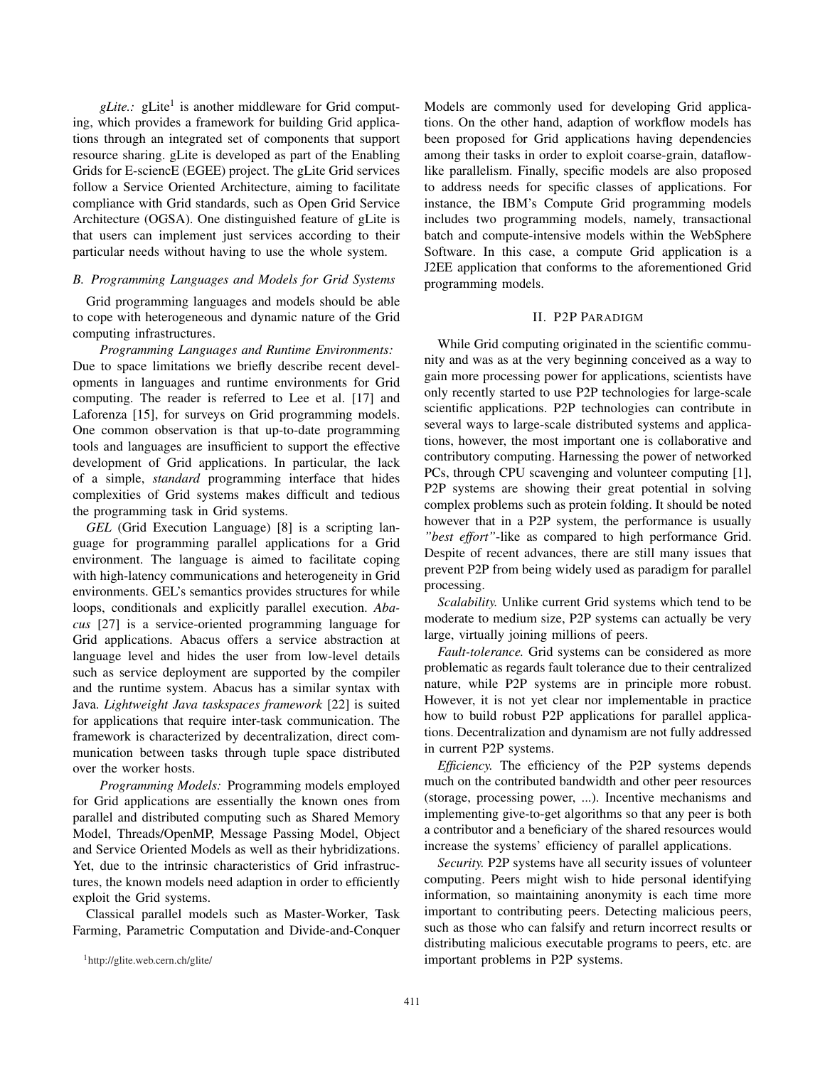gLite.: gLite<sup>1</sup> is another middleware for Grid computing, which provides a framework for building Grid applications through an integrated set of components that support resource sharing. gLite is developed as part of the Enabling Grids for E-sciencE (EGEE) project. The gLite Grid services follow a Service Oriented Architecture, aiming to facilitate compliance with Grid standards, such as Open Grid Service Architecture (OGSA). One distinguished feature of gLite is that users can implement just services according to their particular needs without having to use the whole system.

## *B. Programming Languages and Models for Grid Systems*

Grid programming languages and models should be able to cope with heterogeneous and dynamic nature of the Grid computing infrastructures.

*Programming Languages and Runtime Environments:* Due to space limitations we briefly describe recent developments in languages and runtime environments for Grid computing. The reader is referred to Lee et al. [17] and Laforenza [15], for surveys on Grid programming models. One common observation is that up-to-date programming tools and languages are insufficient to support the effective development of Grid applications. In particular, the lack of a simple, *standard* programming interface that hides complexities of Grid systems makes difficult and tedious the programming task in Grid systems.

*GEL* (Grid Execution Language) [8] is a scripting language for programming parallel applications for a Grid environment. The language is aimed to facilitate coping with high-latency communications and heterogeneity in Grid environments. GEL's semantics provides structures for while loops, conditionals and explicitly parallel execution. *Abacus* [27] is a service-oriented programming language for Grid applications. Abacus offers a service abstraction at language level and hides the user from low-level details such as service deployment are supported by the compiler and the runtime system. Abacus has a similar syntax with Java. *Lightweight Java taskspaces framework* [22] is suited for applications that require inter-task communication. The framework is characterized by decentralization, direct communication between tasks through tuple space distributed over the worker hosts.

*Programming Models:* Programming models employed for Grid applications are essentially the known ones from parallel and distributed computing such as Shared Memory Model, Threads/OpenMP, Message Passing Model, Object and Service Oriented Models as well as their hybridizations. Yet, due to the intrinsic characteristics of Grid infrastructures, the known models need adaption in order to efficiently exploit the Grid systems.

Classical parallel models such as Master-Worker, Task Farming, Parametric Computation and Divide-and-Conquer Models are commonly used for developing Grid applications. On the other hand, adaption of workflow models has been proposed for Grid applications having dependencies among their tasks in order to exploit coarse-grain, dataflowlike parallelism. Finally, specific models are also proposed to address needs for specific classes of applications. For instance, the IBM's Compute Grid programming models includes two programming models, namely, transactional batch and compute-intensive models within the WebSphere Software. In this case, a compute Grid application is a J2EE application that conforms to the aforementioned Grid programming models.

# II. P2P PARADIGM

While Grid computing originated in the scientific community and was as at the very beginning conceived as a way to gain more processing power for applications, scientists have only recently started to use P2P technologies for large-scale scientific applications. P2P technologies can contribute in several ways to large-scale distributed systems and applications, however, the most important one is collaborative and contributory computing. Harnessing the power of networked PCs, through CPU scavenging and volunteer computing [1], P2P systems are showing their great potential in solving complex problems such as protein folding. It should be noted however that in a P2P system, the performance is usually *"best effort"*-like as compared to high performance Grid. Despite of recent advances, there are still many issues that prevent P2P from being widely used as paradigm for parallel processing.

*Scalability.* Unlike current Grid systems which tend to be moderate to medium size, P2P systems can actually be very large, virtually joining millions of peers.

*Fault-tolerance.* Grid systems can be considered as more problematic as regards fault tolerance due to their centralized nature, while P2P systems are in principle more robust. However, it is not yet clear nor implementable in practice how to build robust P2P applications for parallel applications. Decentralization and dynamism are not fully addressed in current P2P systems.

*Efficiency.* The efficiency of the P2P systems depends much on the contributed bandwidth and other peer resources (storage, processing power, ...). Incentive mechanisms and implementing give-to-get algorithms so that any peer is both a contributor and a beneficiary of the shared resources would increase the systems' efficiency of parallel applications.

*Security.* P2P systems have all security issues of volunteer computing. Peers might wish to hide personal identifying information, so maintaining anonymity is each time more important to contributing peers. Detecting malicious peers, such as those who can falsify and return incorrect results or distributing malicious executable programs to peers, etc. are important problems in P2P systems.

<sup>1</sup>http://glite.web.cern.ch/glite/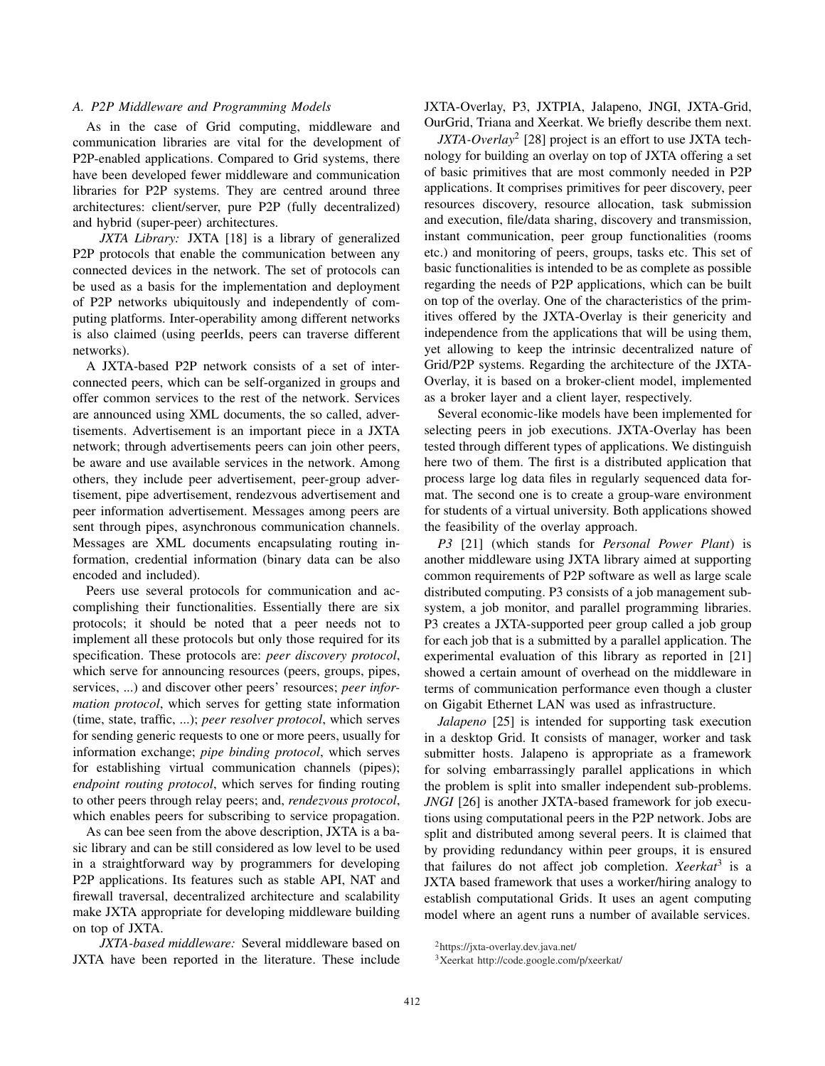#### *A. P2P Middleware and Programming Models*

As in the case of Grid computing, middleware and communication libraries are vital for the development of P2P-enabled applications. Compared to Grid systems, there have been developed fewer middleware and communication libraries for P2P systems. They are centred around three architectures: client/server, pure P2P (fully decentralized) and hybrid (super-peer) architectures.

*JXTA Library:* JXTA [18] is a library of generalized P2P protocols that enable the communication between any connected devices in the network. The set of protocols can be used as a basis for the implementation and deployment of P2P networks ubiquitously and independently of computing platforms. Inter-operability among different networks is also claimed (using peerIds, peers can traverse different networks).

A JXTA-based P2P network consists of a set of interconnected peers, which can be self-organized in groups and offer common services to the rest of the network. Services are announced using XML documents, the so called, advertisements. Advertisement is an important piece in a JXTA network; through advertisements peers can join other peers, be aware and use available services in the network. Among others, they include peer advertisement, peer-group advertisement, pipe advertisement, rendezvous advertisement and peer information advertisement. Messages among peers are sent through pipes, asynchronous communication channels. Messages are XML documents encapsulating routing information, credential information (binary data can be also encoded and included).

Peers use several protocols for communication and accomplishing their functionalities. Essentially there are six protocols; it should be noted that a peer needs not to implement all these protocols but only those required for its specification. These protocols are: *peer discovery protocol*, which serve for announcing resources (peers, groups, pipes, services, ...) and discover other peers' resources; *peer information protocol*, which serves for getting state information (time, state, traffic, ...); *peer resolver protocol*, which serves for sending generic requests to one or more peers, usually for information exchange; *pipe binding protocol*, which serves for establishing virtual communication channels (pipes); *endpoint routing protocol*, which serves for finding routing to other peers through relay peers; and, *rendezvous protocol*, which enables peers for subscribing to service propagation.

As can bee seen from the above description, JXTA is a basic library and can be still considered as low level to be used in a straightforward way by programmers for developing P2P applications. Its features such as stable API, NAT and firewall traversal, decentralized architecture and scalability make JXTA appropriate for developing middleware building on top of JXTA.

*JXTA-based middleware:* Several middleware based on JXTA have been reported in the literature. These include JXTA-Overlay, P3, JXTPIA, Jalapeno, JNGI, JXTA-Grid, OurGrid, Triana and Xeerkat. We briefly describe them next.

*JXTA-Overlay*<sup>2</sup> [28] project is an effort to use JXTA technology for building an overlay on top of JXTA offering a set of basic primitives that are most commonly needed in P2P applications. It comprises primitives for peer discovery, peer resources discovery, resource allocation, task submission and execution, file/data sharing, discovery and transmission, instant communication, peer group functionalities (rooms etc.) and monitoring of peers, groups, tasks etc. This set of basic functionalities is intended to be as complete as possible regarding the needs of P2P applications, which can be built on top of the overlay. One of the characteristics of the primitives offered by the JXTA-Overlay is their genericity and independence from the applications that will be using them, yet allowing to keep the intrinsic decentralized nature of Grid/P2P systems. Regarding the architecture of the JXTA-Overlay, it is based on a broker-client model, implemented as a broker layer and a client layer, respectively.

Several economic-like models have been implemented for selecting peers in job executions. JXTA-Overlay has been tested through different types of applications. We distinguish here two of them. The first is a distributed application that process large log data files in regularly sequenced data format. The second one is to create a group-ware environment for students of a virtual university. Both applications showed the feasibility of the overlay approach.

*P3* [21] (which stands for *Personal Power Plant*) is another middleware using JXTA library aimed at supporting common requirements of P2P software as well as large scale distributed computing. P3 consists of a job management subsystem, a job monitor, and parallel programming libraries. P3 creates a JXTA-supported peer group called a job group for each job that is a submitted by a parallel application. The experimental evaluation of this library as reported in [21] showed a certain amount of overhead on the middleware in terms of communication performance even though a cluster on Gigabit Ethernet LAN was used as infrastructure.

*Jalapeno* [25] is intended for supporting task execution in a desktop Grid. It consists of manager, worker and task submitter hosts. Jalapeno is appropriate as a framework for solving embarrassingly parallel applications in which the problem is split into smaller independent sub-problems. *JNGI* [26] is another JXTA-based framework for job executions using computational peers in the P2P network. Jobs are split and distributed among several peers. It is claimed that by providing redundancy within peer groups, it is ensured that failures do not affect job completion. *Xeerkat*<sup>3</sup> is a JXTA based framework that uses a worker/hiring analogy to establish computational Grids. It uses an agent computing model where an agent runs a number of available services.

<sup>2</sup>https://jxta-overlay.dev.java.net/

<sup>3</sup>Xeerkat http://code.google.com/p/xeerkat/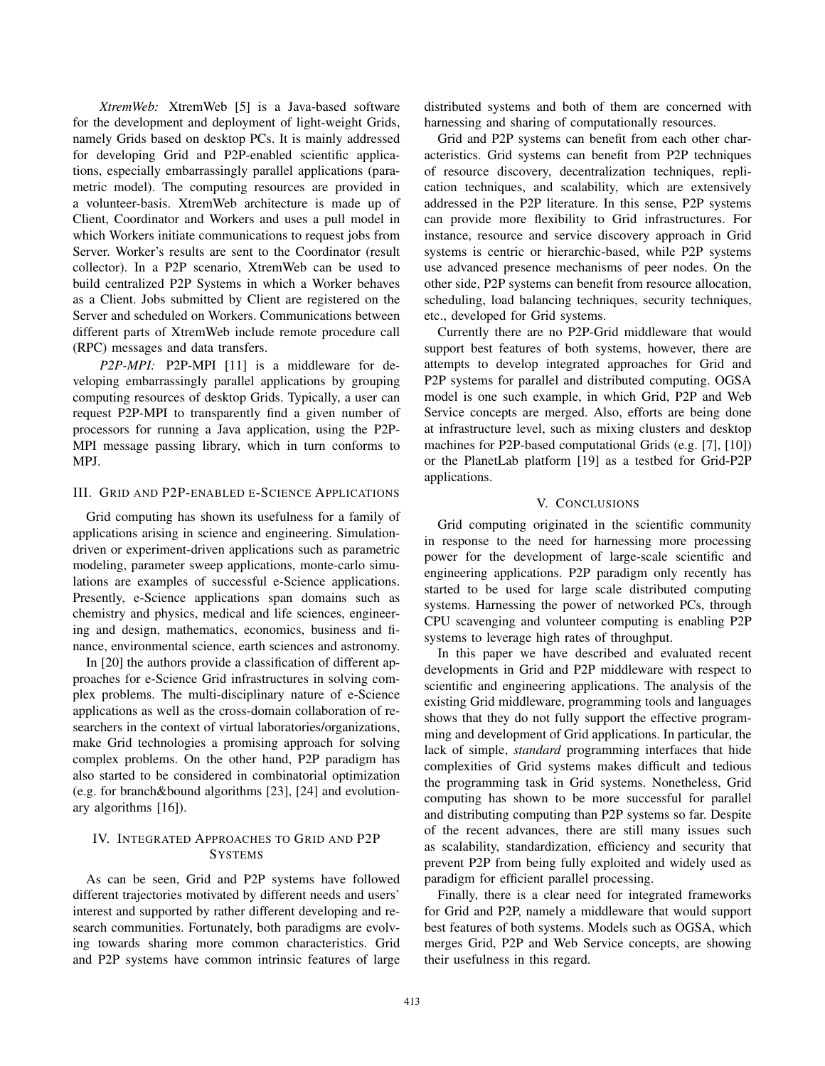*XtremWeb:* XtremWeb [5] is a Java-based software for the development and deployment of light-weight Grids, namely Grids based on desktop PCs. It is mainly addressed for developing Grid and P2P-enabled scientific applications, especially embarrassingly parallel applications (parametric model). The computing resources are provided in a volunteer-basis. XtremWeb architecture is made up of Client, Coordinator and Workers and uses a pull model in which Workers initiate communications to request jobs from Server. Worker's results are sent to the Coordinator (result collector). In a P2P scenario, XtremWeb can be used to build centralized P2P Systems in which a Worker behaves as a Client. Jobs submitted by Client are registered on the Server and scheduled on Workers. Communications between different parts of XtremWeb include remote procedure call (RPC) messages and data transfers.

*P2P-MPI:* P2P-MPI [11] is a middleware for developing embarrassingly parallel applications by grouping computing resources of desktop Grids. Typically, a user can request P2P-MPI to transparently find a given number of processors for running a Java application, using the P2P-MPI message passing library, which in turn conforms to MPJ.

### III. GRID AND P2P-ENABLED E-SCIENCE APPLICATIONS

Grid computing has shown its usefulness for a family of applications arising in science and engineering. Simulationdriven or experiment-driven applications such as parametric modeling, parameter sweep applications, monte-carlo simulations are examples of successful e-Science applications. Presently, e-Science applications span domains such as chemistry and physics, medical and life sciences, engineering and design, mathematics, economics, business and finance, environmental science, earth sciences and astronomy.

In [20] the authors provide a classification of different approaches for e-Science Grid infrastructures in solving complex problems. The multi-disciplinary nature of e-Science applications as well as the cross-domain collaboration of researchers in the context of virtual laboratories/organizations, make Grid technologies a promising approach for solving complex problems. On the other hand, P2P paradigm has also started to be considered in combinatorial optimization (e.g. for branch&bound algorithms [23], [24] and evolutionary algorithms [16]).

# IV. INTEGRATED APPROACHES TO GRID AND P2P **SYSTEMS**

As can be seen, Grid and P2P systems have followed different trajectories motivated by different needs and users' interest and supported by rather different developing and research communities. Fortunately, both paradigms are evolving towards sharing more common characteristics. Grid and P2P systems have common intrinsic features of large distributed systems and both of them are concerned with harnessing and sharing of computationally resources.

Grid and P2P systems can benefit from each other characteristics. Grid systems can benefit from P2P techniques of resource discovery, decentralization techniques, replication techniques, and scalability, which are extensively addressed in the P2P literature. In this sense, P2P systems can provide more flexibility to Grid infrastructures. For instance, resource and service discovery approach in Grid systems is centric or hierarchic-based, while P2P systems use advanced presence mechanisms of peer nodes. On the other side, P2P systems can benefit from resource allocation, scheduling, load balancing techniques, security techniques, etc., developed for Grid systems.

Currently there are no P2P-Grid middleware that would support best features of both systems, however, there are attempts to develop integrated approaches for Grid and P2P systems for parallel and distributed computing. OGSA model is one such example, in which Grid, P2P and Web Service concepts are merged. Also, efforts are being done at infrastructure level, such as mixing clusters and desktop machines for P2P-based computational Grids (e.g. [7], [10]) or the PlanetLab platform [19] as a testbed for Grid-P2P applications.

#### V. CONCLUSIONS

Grid computing originated in the scientific community in response to the need for harnessing more processing power for the development of large-scale scientific and engineering applications. P2P paradigm only recently has started to be used for large scale distributed computing systems. Harnessing the power of networked PCs, through CPU scavenging and volunteer computing is enabling P2P systems to leverage high rates of throughput.

In this paper we have described and evaluated recent developments in Grid and P2P middleware with respect to scientific and engineering applications. The analysis of the existing Grid middleware, programming tools and languages shows that they do not fully support the effective programming and development of Grid applications. In particular, the lack of simple, *standard* programming interfaces that hide complexities of Grid systems makes difficult and tedious the programming task in Grid systems. Nonetheless, Grid computing has shown to be more successful for parallel and distributing computing than P2P systems so far. Despite of the recent advances, there are still many issues such as scalability, standardization, efficiency and security that prevent P2P from being fully exploited and widely used as paradigm for efficient parallel processing.

Finally, there is a clear need for integrated frameworks for Grid and P2P, namely a middleware that would support best features of both systems. Models such as OGSA, which merges Grid, P2P and Web Service concepts, are showing their usefulness in this regard.